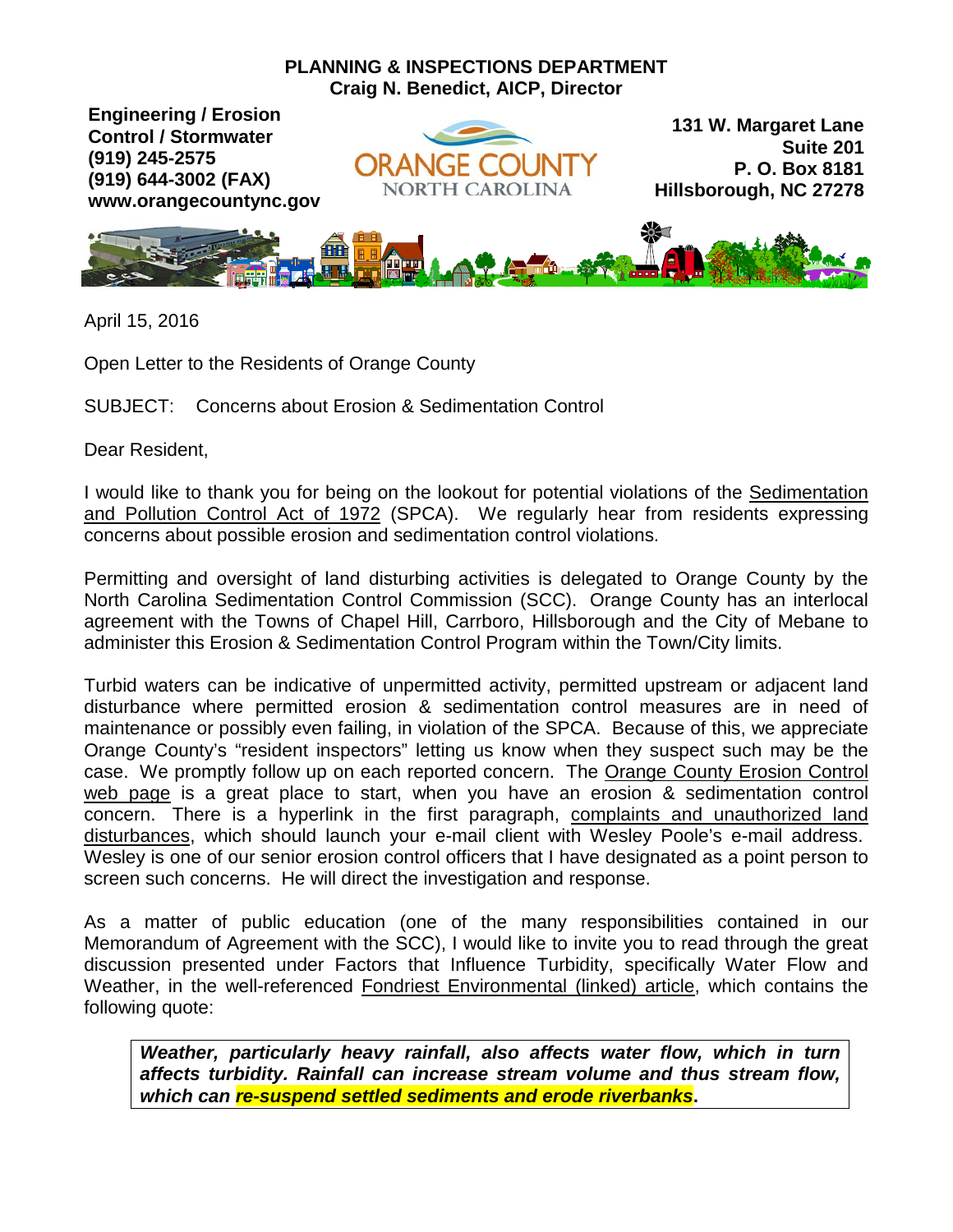## **PLANNING & INSPECTIONS DEPARTMENT Craig N. Benedict, AICP, Director**

**Engineering / Erosion Control / Stormwater (919) 245-2575 (919) 644-3002 (FAX) www.orangecountync.gov**



**131 W. Margaret Lane Suite 201 P. O. Box 8181 Hillsborough, NC 27278**



April 15, 2016

Open Letter to the Residents of Orange County

SUBJECT: Concerns about Erosion & Sedimentation Control

Dear Resident,

I would like to thank you for being on the lookout for potential violations of the [Sedimentation](http://www.ncga.state.nc.us/enactedlegislation/statutes/html/byarticle/chapter_113a/article_4.html)  [and Pollution Control Act of 1972](http://www.ncga.state.nc.us/enactedlegislation/statutes/html/byarticle/chapter_113a/article_4.html) (SPCA). We regularly hear from residents expressing concerns about possible erosion and sedimentation control violations.

Permitting and oversight of land disturbing activities is delegated to Orange County by the North Carolina Sedimentation Control Commission (SCC). Orange County has an interlocal agreement with the Towns of Chapel Hill, Carrboro, Hillsborough and the City of Mebane to administer this Erosion & Sedimentation Control Program within the Town/City limits.

Turbid waters can be indicative of unpermitted activity, permitted upstream or adjacent land disturbance where permitted erosion & sedimentation control measures are in need of maintenance or possibly even failing, in violation of the SPCA. Because of this, we appreciate Orange County's "resident inspectors" letting us know when they suspect such may be the case. We promptly follow up on each reported concern. The [Orange County Erosion Control](http://www.orangecountync.gov/departments/planning_and_inspections/erosion_control.php)  [web page](http://www.orangecountync.gov/departments/planning_and_inspections/erosion_control.php) is a great place to start, when you have an erosion & sedimentation control concern. There is a hyperlink in the first paragraph, [complaints and unauthorized land](mailto:wpoole@orangecountync.gov)  [disturbances,](mailto:wpoole@orangecountync.gov) which should launch your e-mail client with Wesley Poole's e-mail address. Wesley is one of our senior erosion control officers that I have designated as a point person to screen such concerns. He will direct the investigation and response.

As a matter of public education (one of the many responsibilities contained in our Memorandum of Agreement with the SCC), I would like to invite you to read through the great discussion presented under Factors that Influence Turbidity, specifically Water Flow and Weather, in the well-referenced [Fondriest Environmental \(linked\) article,](http://www.fondriest.com/environmental-measurements/parameters/water-quality/turbidity-total-suspended-solids-water-clarity/%23Turbid15) which contains the following quote:

*Weather, particularly heavy rainfall, also affects water flow, which in turn affects turbidity. Rainfall can increase stream volume and thus stream flow, which can re-suspend settled sediments and erode riverbanks***.**